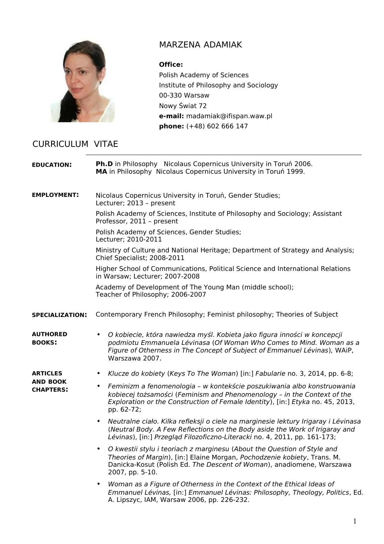

## MARZENA ADAMIAK

## **Office:**

Polish Academy of Sciences Institute of Philosophy and Sociology 00-330 Warsaw Nowy Świat 72 **e-mail:** madamiak@ifispan.waw.pl **phone:** (+48) 602 666 147

## CURRICULUM VITAE

| <b>EDUCATION:</b>                               | <b>Ph.D</b> in Philosophy Nicolaus Copernicus University in Toruń 2006.<br>MA in Philosophy Nicolaus Copernicus University in Toruń 1999.                                                                                                                       |
|-------------------------------------------------|-----------------------------------------------------------------------------------------------------------------------------------------------------------------------------------------------------------------------------------------------------------------|
| <b>EMPLOYMENT:</b>                              | Nicolaus Copernicus University in Toruń, Gender Studies;<br>Lecturer; 2013 - present                                                                                                                                                                            |
|                                                 | Polish Academy of Sciences, Institute of Philosophy and Sociology; Assistant<br>Professor, 2011 - present                                                                                                                                                       |
|                                                 | Polish Academy of Sciences, Gender Studies;<br>Lecturer; 2010-2011                                                                                                                                                                                              |
|                                                 | Ministry of Culture and National Heritage; Department of Strategy and Analysis;<br>Chief Specialist; 2008-2011                                                                                                                                                  |
|                                                 | Higher School of Communications, Political Science and International Relations<br>in Warsaw; Lecturer; 2007-2008                                                                                                                                                |
|                                                 | Academy of Development of The Young Man (middle school);<br>Teacher of Philosophy; 2006-2007                                                                                                                                                                    |
| <b>SPECIALIZATION:</b>                          | Contemporary French Philosophy; Feminist philosophy; Theories of Subject                                                                                                                                                                                        |
| AUTHORED<br><b>BOOKS:</b>                       | O kobiecie, która nawiedza myśl. Kobieta jako figura inności w koncepcji<br>podmiotu Emmanuela Lévinasa (Of Woman Who Comes to Mind. Woman as a<br>Figure of Otherness in The Concept of Subject of Emmanuel Lévinas), WAiP,<br>Warszawa 2007.                  |
| ARTICLES<br><b>AND BOOK</b><br><b>CHAPTERS:</b> | Klucze do kobiety (Keys To The Woman) [in:] Fabularie no. 3, 2014, pp. 6-8;<br>٠                                                                                                                                                                                |
|                                                 | Feminizm a fenomenologia - w kontekście poszukiwania albo konstruowania<br>$\bullet$<br>kobiecej tożsamości (Feminism and Phenomenology - in the Context of the<br>Exploration or the Construction of Female Identity), [in:] Etyka no. 45, 2013,<br>pp. 62-72; |
|                                                 | Neutralne ciało. Kilka refleksji o ciele na marginesie lektury Irigaray i Lévinasa<br>$\bullet$<br>(Neutral Body. A Few Reflections on the Body aside the Work of Irigaray and<br>Lévinas), [in:] Przegląd Filozoficzno-Literacki no. 4, 2011, pp. 161-173;     |
|                                                 | O kwestii stylu i teoriach z marginesu (About the Question of Style and<br>Theories of Margin), [in:] Elaine Morgan, Pochodzenie kobiety, Trans. M.<br>Danicka-Kosut (Polish Ed. The Descent of Woman), anadiomene, Warszawa<br>2007, pp. 5-10.                 |
|                                                 | Woman as a Figure of Otherness in the Context of the Ethical Ideas of<br>$\bullet$<br>Emmanuel Lévinas, [in:] Emmanuel Lévinas: Philosophy, Theology, Politics, Ed.<br>A. Lipszyc, IAM, Warsaw 2006, pp. 226-232.                                               |